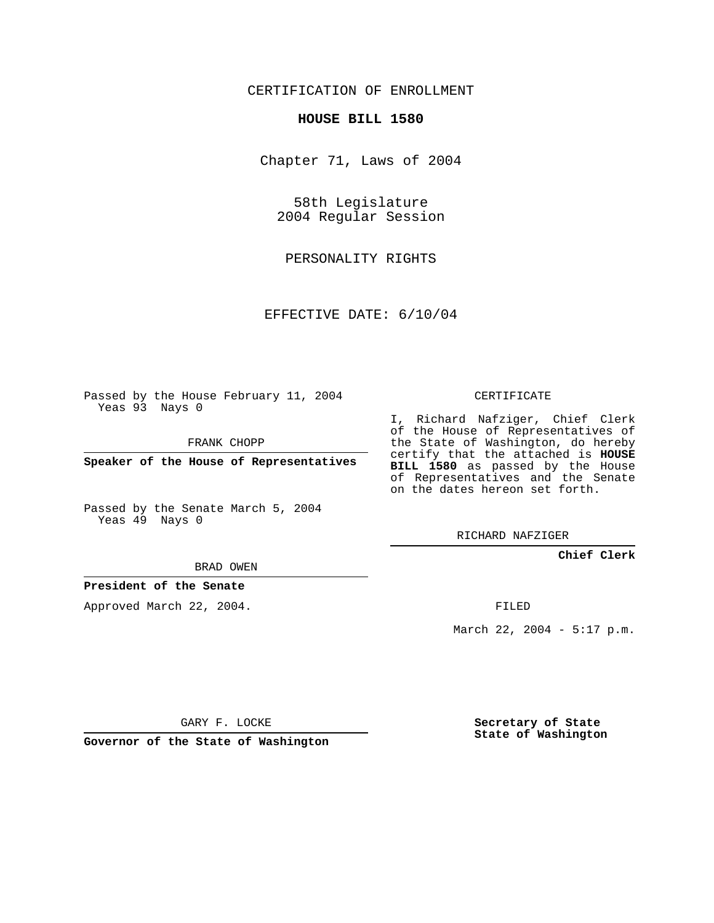## CERTIFICATION OF ENROLLMENT

#### **HOUSE BILL 1580**

Chapter 71, Laws of 2004

58th Legislature 2004 Regular Session

PERSONALITY RIGHTS

EFFECTIVE DATE: 6/10/04

Passed by the House February 11, 2004 Yeas 93 Nays 0

FRANK CHOPP

**Speaker of the House of Representatives**

Passed by the Senate March 5, 2004 Yeas 49 Nays 0

I, Richard Nafziger, Chief Clerk of the House of Representatives of the State of Washington, do hereby certify that the attached is **HOUSE BILL 1580** as passed by the House of Representatives and the Senate on the dates hereon set forth.

CERTIFICATE

RICHARD NAFZIGER

### **Chief Clerk**

BRAD OWEN

## **President of the Senate**

Approved March 22, 2004.

FILED

March 22, 2004 - 5:17 p.m.

GARY F. LOCKE

**Governor of the State of Washington**

**Secretary of State State of Washington**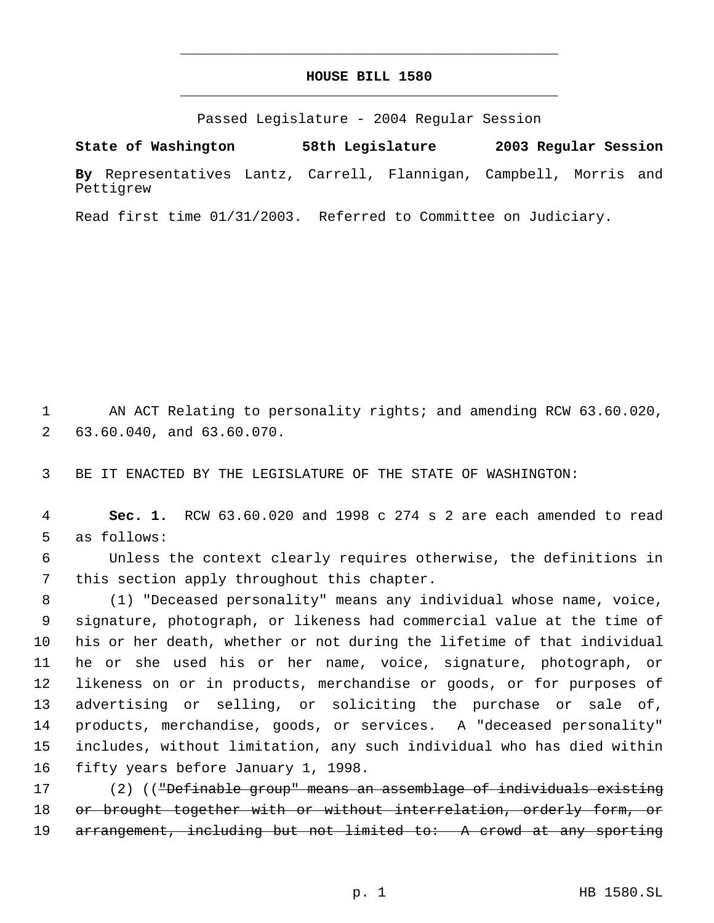# **HOUSE BILL 1580** \_\_\_\_\_\_\_\_\_\_\_\_\_\_\_\_\_\_\_\_\_\_\_\_\_\_\_\_\_\_\_\_\_\_\_\_\_\_\_\_\_\_\_\_\_

\_\_\_\_\_\_\_\_\_\_\_\_\_\_\_\_\_\_\_\_\_\_\_\_\_\_\_\_\_\_\_\_\_\_\_\_\_\_\_\_\_\_\_\_\_

Passed Legislature - 2004 Regular Session

**State of Washington 58th Legislature 2003 Regular Session By** Representatives Lantz, Carrell, Flannigan, Campbell, Morris and Pettigrew

Read first time 01/31/2003. Referred to Committee on Judiciary.

 AN ACT Relating to personality rights; and amending RCW 63.60.020, 63.60.040, and 63.60.070.

BE IT ENACTED BY THE LEGISLATURE OF THE STATE OF WASHINGTON:

 **Sec. 1.** RCW 63.60.020 and 1998 c 274 s 2 are each amended to read as follows:

 Unless the context clearly requires otherwise, the definitions in this section apply throughout this chapter.

 (1) "Deceased personality" means any individual whose name, voice, signature, photograph, or likeness had commercial value at the time of his or her death, whether or not during the lifetime of that individual he or she used his or her name, voice, signature, photograph, or likeness on or in products, merchandise or goods, or for purposes of advertising or selling, or soliciting the purchase or sale of, products, merchandise, goods, or services. A "deceased personality" includes, without limitation, any such individual who has died within fifty years before January 1, 1998.

 (2) (("Definable group" means an assemblage of individuals existing 18 or brought together with or without interrelation, orderly form, or 19 arrangement, including but not limited to: A crowd at any sporting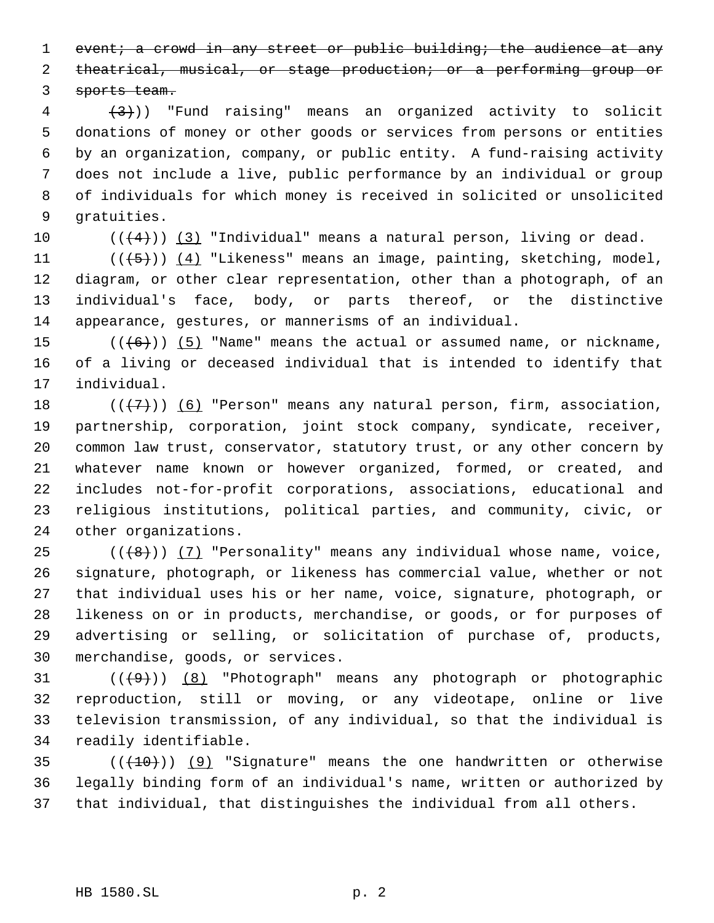1 event; a crowd in any street or public building; the audience at any

theatrical, musical, or stage production; or a performing group or

sports team.

 $\left(4\right)$  (3)) "Fund raising" means an organized activity to solicit donations of money or other goods or services from persons or entities by an organization, company, or public entity. A fund-raising activity does not include a live, public performance by an individual or group of individuals for which money is received in solicited or unsolicited gratuities.

10  $((4+))$   $(3)$  "Individual" means a natural person, living or dead.

 $((\overline{5})) (4)$  "Likeness" means an image, painting, sketching, model, diagram, or other clear representation, other than a photograph, of an individual's face, body, or parts thereof, or the distinctive appearance, gestures, or mannerisms of an individual.

15  $((+6))$   $(5)$  "Name" means the actual or assumed name, or nickname, of a living or deceased individual that is intended to identify that individual.

 $((+7))$  (6) "Person" means any natural person, firm, association, partnership, corporation, joint stock company, syndicate, receiver, common law trust, conservator, statutory trust, or any other concern by whatever name known or however organized, formed, or created, and includes not-for-profit corporations, associations, educational and religious institutions, political parties, and community, civic, or other organizations.

 $((\langle 8 \rangle)(7)$  "Personality" means any individual whose name, voice, signature, photograph, or likeness has commercial value, whether or not that individual uses his or her name, voice, signature, photograph, or likeness on or in products, merchandise, or goods, or for purposes of advertising or selling, or solicitation of purchase of, products, merchandise, goods, or services.

 $((+9))$   $(8)$  "Photograph" means any photograph or photographic reproduction, still or moving, or any videotape, online or live television transmission, of any individual, so that the individual is readily identifiable.

35  $((+10))$  (9) "Signature" means the one handwritten or otherwise legally binding form of an individual's name, written or authorized by that individual, that distinguishes the individual from all others.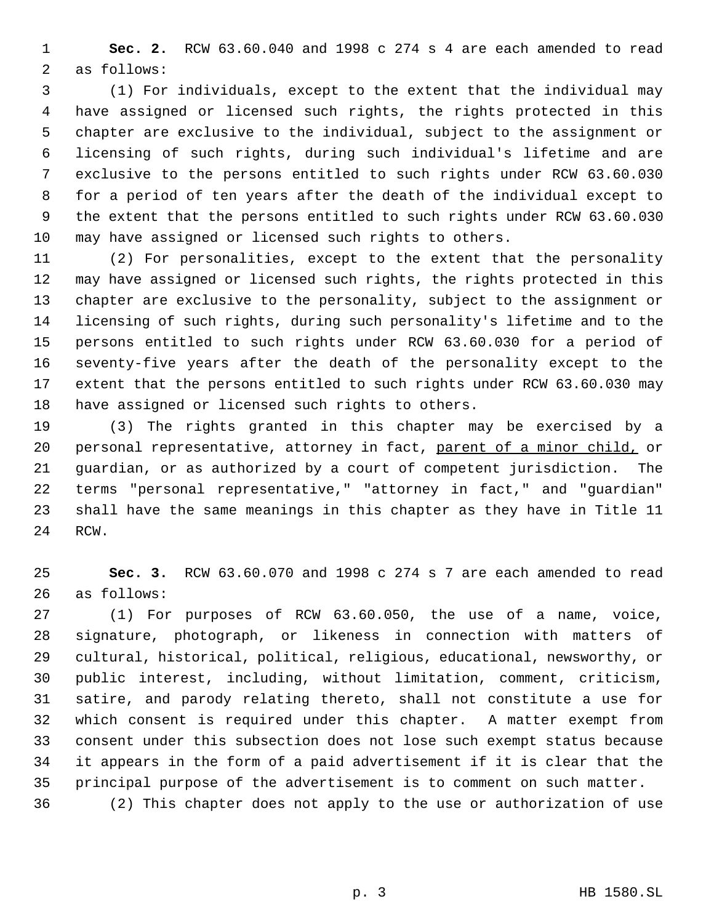**Sec. 2.** RCW 63.60.040 and 1998 c 274 s 4 are each amended to read as follows:

 (1) For individuals, except to the extent that the individual may have assigned or licensed such rights, the rights protected in this chapter are exclusive to the individual, subject to the assignment or licensing of such rights, during such individual's lifetime and are exclusive to the persons entitled to such rights under RCW 63.60.030 for a period of ten years after the death of the individual except to the extent that the persons entitled to such rights under RCW 63.60.030 may have assigned or licensed such rights to others.

 (2) For personalities, except to the extent that the personality may have assigned or licensed such rights, the rights protected in this chapter are exclusive to the personality, subject to the assignment or licensing of such rights, during such personality's lifetime and to the persons entitled to such rights under RCW 63.60.030 for a period of seventy-five years after the death of the personality except to the extent that the persons entitled to such rights under RCW 63.60.030 may have assigned or licensed such rights to others.

 (3) The rights granted in this chapter may be exercised by a 20 personal representative, attorney in fact, parent of a minor child, or guardian, or as authorized by a court of competent jurisdiction. The terms "personal representative," "attorney in fact," and "guardian" shall have the same meanings in this chapter as they have in Title 11 RCW.

 **Sec. 3.** RCW 63.60.070 and 1998 c 274 s 7 are each amended to read as follows:

 (1) For purposes of RCW 63.60.050, the use of a name, voice, signature, photograph, or likeness in connection with matters of cultural, historical, political, religious, educational, newsworthy, or public interest, including, without limitation, comment, criticism, satire, and parody relating thereto, shall not constitute a use for which consent is required under this chapter. A matter exempt from consent under this subsection does not lose such exempt status because it appears in the form of a paid advertisement if it is clear that the principal purpose of the advertisement is to comment on such matter.

(2) This chapter does not apply to the use or authorization of use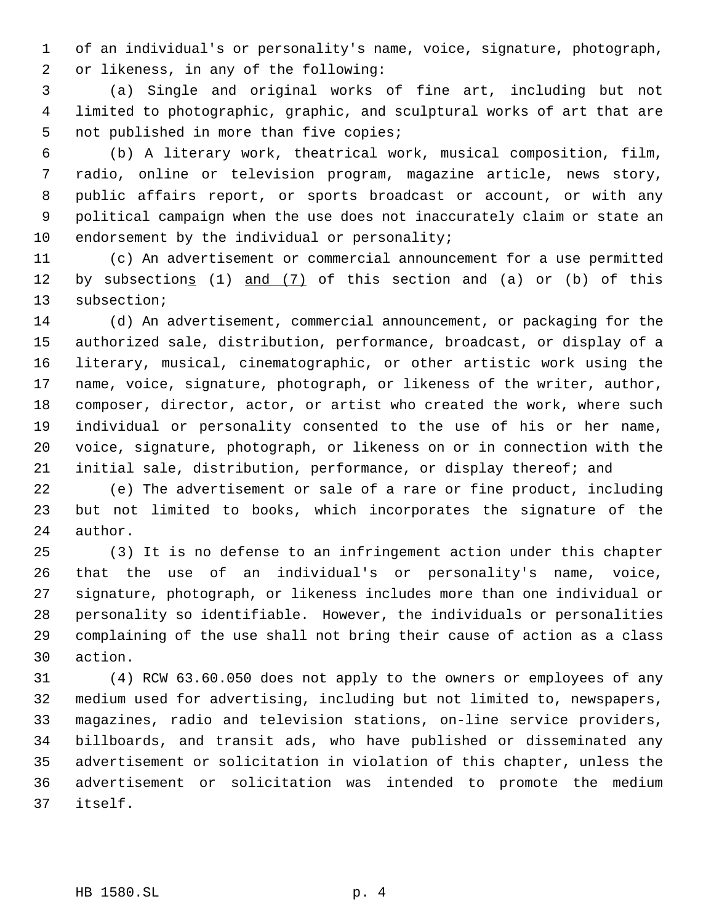of an individual's or personality's name, voice, signature, photograph, or likeness, in any of the following:

 (a) Single and original works of fine art, including but not limited to photographic, graphic, and sculptural works of art that are not published in more than five copies;

 (b) A literary work, theatrical work, musical composition, film, radio, online or television program, magazine article, news story, public affairs report, or sports broadcast or account, or with any political campaign when the use does not inaccurately claim or state an 10 endorsement by the individual or personality;

 (c) An advertisement or commercial announcement for a use permitted 12 by subsections (1) and (7) of this section and (a) or (b) of this subsection;

 (d) An advertisement, commercial announcement, or packaging for the authorized sale, distribution, performance, broadcast, or display of a literary, musical, cinematographic, or other artistic work using the name, voice, signature, photograph, or likeness of the writer, author, composer, director, actor, or artist who created the work, where such individual or personality consented to the use of his or her name, voice, signature, photograph, or likeness on or in connection with the initial sale, distribution, performance, or display thereof; and

 (e) The advertisement or sale of a rare or fine product, including but not limited to books, which incorporates the signature of the author.

 (3) It is no defense to an infringement action under this chapter that the use of an individual's or personality's name, voice, signature, photograph, or likeness includes more than one individual or personality so identifiable. However, the individuals or personalities complaining of the use shall not bring their cause of action as a class action.

 (4) RCW 63.60.050 does not apply to the owners or employees of any medium used for advertising, including but not limited to, newspapers, magazines, radio and television stations, on-line service providers, billboards, and transit ads, who have published or disseminated any advertisement or solicitation in violation of this chapter, unless the advertisement or solicitation was intended to promote the medium itself.